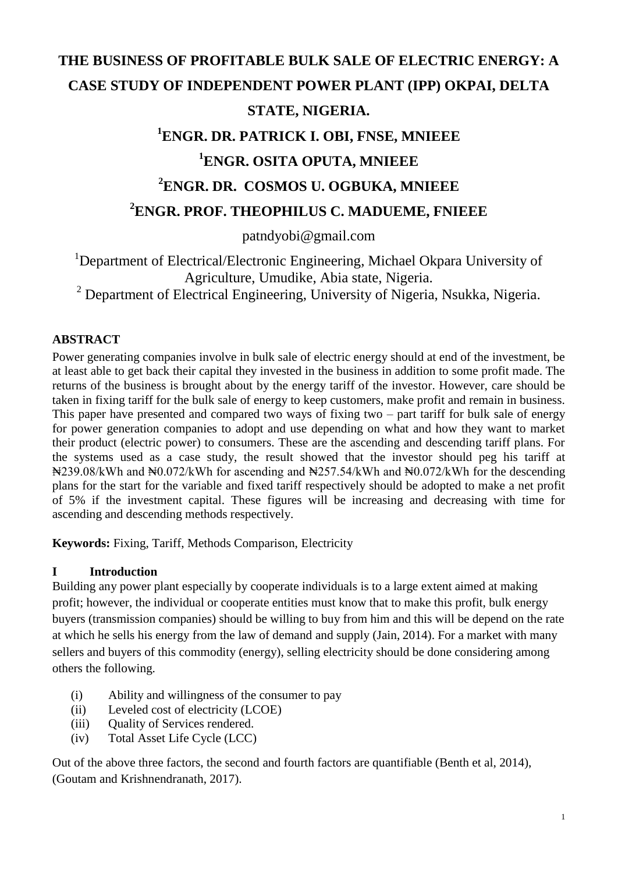# **THE BUSINESS OF PROFITABLE BULK SALE OF ELECTRIC ENERGY: A CASE STUDY OF INDEPENDENT POWER PLANT (IPP) OKPAI, DELTA STATE, NIGERIA. <sup>1</sup>ENGR. DR. PATRICK I. OBI, FNSE, MNIEEE**

## **<sup>1</sup>ENGR. OSITA OPUTA, MNIEEE**

# **<sup>2</sup>ENGR. DR. COSMOS U. OGBUKA, MNIEEE**

### **<sup>2</sup>ENGR. PROF. THEOPHILUS C. MADUEME, FNIEEE**

patndyobi@gmail.com

<sup>1</sup>Department of Electrical/Electronic Engineering, Michael Okpara University of Agriculture, Umudike, Abia state, Nigeria.

<sup>2</sup> Department of Electrical Engineering, University of Nigeria, Nsukka, Nigeria.

#### **ABSTRACT**

Power generating companies involve in bulk sale of electric energy should at end of the investment, be at least able to get back their capital they invested in the business in addition to some profit made. The returns of the business is brought about by the energy tariff of the investor. However, care should be taken in fixing tariff for the bulk sale of energy to keep customers, make profit and remain in business. This paper have presented and compared two ways of fixing two – part tariff for bulk sale of energy for power generation companies to adopt and use depending on what and how they want to market their product (electric power) to consumers. These are the ascending and descending tariff plans. For the systems used as a case study, the result showed that the investor should peg his tariff at ₦239.08/kWh and ₦0.072/kWh for ascending and ₦257.54/kWh and ₦0.072/kWh for the descending plans for the start for the variable and fixed tariff respectively should be adopted to make a net profit of 5% if the investment capital. These figures will be increasing and decreasing with time for ascending and descending methods respectively.

**Keywords:** Fixing, Tariff, Methods Comparison, Electricity

#### **I Introduction**

Building any power plant especially by cooperate individuals is to a large extent aimed at making profit; however, the individual or cooperate entities must know that to make this profit, bulk energy buyers (transmission companies) should be willing to buy from him and this will be depend on the rate at which he sells his energy from the law of demand and supply (Jain, 2014). For a market with many sellers and buyers of this commodity (energy), selling electricity should be done considering among others the following.

- (i) Ability and willingness of the consumer to pay
- (ii) Leveled cost of electricity (LCOE)
- (iii) Ouality of Services rendered.
- (iv) Total Asset Life Cycle (LCC)

Out of the above three factors, the second and fourth factors are quantifiable (Benth et al, 2014), (Goutam and Krishnendranath, 2017).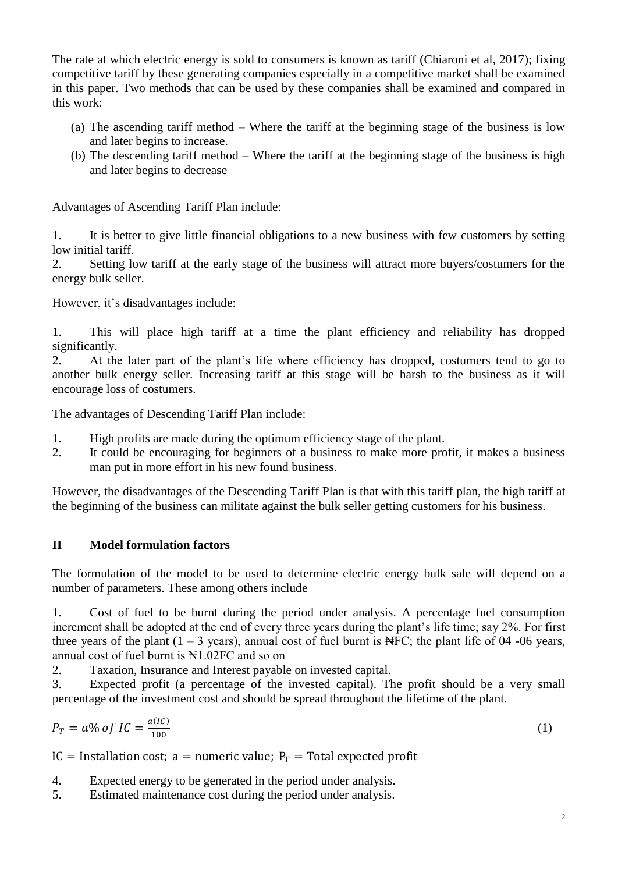The rate at which electric energy is sold to consumers is known as tariff (Chiaroni et al, 2017); fixing competitive tariff by these generating companies especially in a competitive market shall be examined in this paper. Two methods that can be used by these companies shall be examined and compared in this work:

- (a) The ascending tariff method Where the tariff at the beginning stage of the business is low and later begins to increase.
- (b) The descending tariff method Where the tariff at the beginning stage of the business is high and later begins to decrease

Advantages of Ascending Tariff Plan include:

1. It is better to give little financial obligations to a new business with few customers by setting low initial tariff.

2. Setting low tariff at the early stage of the business will attract more buyers/costumers for the energy bulk seller.

However, it's disadvantages include:

1. This will place high tariff at a time the plant efficiency and reliability has dropped significantly.

2. At the later part of the plant's life where efficiency has dropped, costumers tend to go to another bulk energy seller. Increasing tariff at this stage will be harsh to the business as it will encourage loss of costumers.

The advantages of Descending Tariff Plan include:

- 1. High profits are made during the optimum efficiency stage of the plant.
- 2. It could be encouraging for beginners of a business to make more profit, it makes a business man put in more effort in his new found business.

However, the disadvantages of the Descending Tariff Plan is that with this tariff plan, the high tariff at the beginning of the business can militate against the bulk seller getting customers for his business.

#### **II Model formulation factors**

The formulation of the model to be used to determine electric energy bulk sale will depend on a number of parameters. These among others include

1. Cost of fuel to be burnt during the period under analysis. A percentage fuel consumption increment shall be adopted at the end of every three years during the plant's life time; say 2%. For first three years of the plant  $(1 - 3$  years), annual cost of fuel burnt is NFC; the plant life of 04 -06 years, annual cost of fuel burnt is  $\mathbb{N}1.02FC$  and so on

2. Taxation, Insurance and Interest payable on invested capital.

3. Expected profit (a percentage of the invested capital). The profit should be a very small percentage of the investment cost and should be spread throughout the lifetime of the plant.

$$
P_T = a\% \ of \ IC = \frac{a(IC)}{100} \tag{1}
$$

IC = Installation cost; a = numeric value;  $P_T$  = Total expected profit

4. Expected energy to be generated in the period under analysis.

5. Estimated maintenance cost during the period under analysis.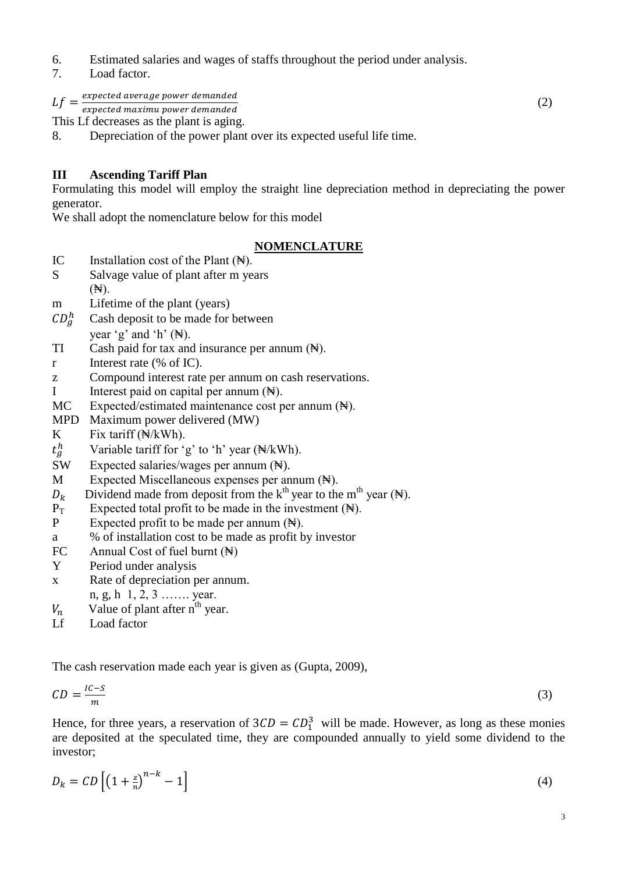- 6. Estimated salaries and wages of staffs throughout the period under analysis.
- 7. Load factor.

 $Lf = \frac{e}{2}$ 

e  $(2)$ 

This Lf decreases as the plant is aging.

8. Depreciation of the power plant over its expected useful life time.

#### **III Ascending Tariff Plan**

Formulating this model will employ the straight line depreciation method in depreciating the power generator.

We shall adopt the nomenclature below for this model

#### **NOMENCLATURE**

- IC Installation cost of the Plant  $(\mathbb{N})$ .
- S Salvage value of plant after m years (₦).
- m Lifetime of the plant (years)
- $CD_a^h$  Cash deposit to be made for between vear 'g' and 'h'  $(\mathbb{H})$ .
- $TI$  Cash paid for tax and insurance per annum  $(\mathbb{N})$ .
- r Interest rate (% of IC).
- z Compound interest rate per annum on cash reservations.
- I Interest paid on capital per annum  $(\mathbb{N})$ .
- MC Expected/estimated maintenance cost per annum (N).
- MPD Maximum power delivered (MW)
- K Fix tariff  $(\mathbb{N}/kWh)$ .

 $t_q^h$ Variable tariff for 'g' to 'h' year (₦/kWh).

SW Expected salaries/wages per annum (N).

M Expected Miscellaneous expenses per annum (N).

- $D_k$  Dividend made from deposit from the k<sup>th</sup> year to the m<sup>th</sup> year (N).
- $P_T$  Expected total profit to be made in the investment  $(\mathbb{N})$ .
- P Expected profit to be made per annum (N).
- a % of installation cost to be made as profit by investor
- FC Annual Cost of fuel burnt  $(\mathbb{H})$
- Y Period under analysis
- x Rate of depreciation per annum.
- n, g, h 1, 2, 3 ……. year.
- $V_n$  Value of plant after n<sup>th</sup> year.
- Lf Load factor

The cash reservation made each year is given as (Gupta, 2009),

$$
CD = \frac{IC - S}{m} \tag{3}
$$

Hence, for three years, a reservation of  $3CD = CD_1^3$  will be made. However, as long as these monies are deposited at the speculated time, they are compounded annually to yield some dividend to the investor;

$$
D_k = CD\left[\left(1 + \frac{z}{n}\right)^{n-k} - 1\right] \tag{4}
$$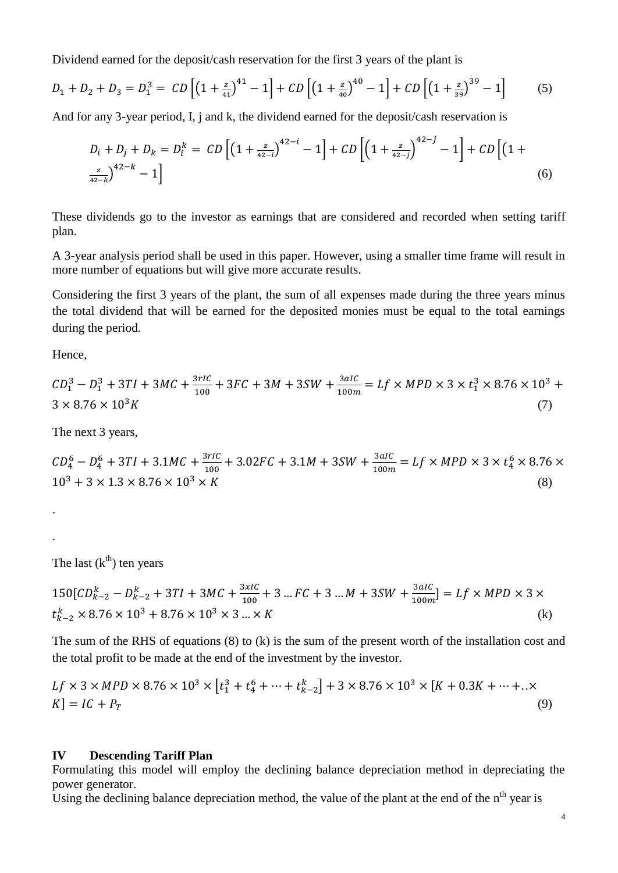Dividend earned for the deposit/cash reservation for the first 3 years of the plant is

$$
D_1 + D_2 + D_3 = D_1^3 = CD \left[ \left( 1 + \frac{z}{41} \right)^{41} - 1 \right] + CD \left[ \left( 1 + \frac{z}{40} \right)^{40} - 1 \right] + CD \left[ \left( 1 + \frac{z}{39} \right)^{39} - 1 \right] \tag{5}
$$

And for any 3-year period, I, j and k, the dividend earned for the deposit/cash reservation is

$$
D_i + D_j + D_k = D_i^k = CD \left[ \left( 1 + \frac{z}{42 - i} \right)^{42 - i} - 1 \right] + CD \left[ \left( 1 + \frac{z}{42 - i} \right)^{42 - i} - 1 \right] + CD \left[ \left( 1 + \frac{z}{42 - i} \right)^{42 - k} - 1 \right]
$$
\n
$$
(6)
$$

These dividends go to the investor as earnings that are considered and recorded when setting tariff plan.

A 3-year analysis period shall be used in this paper. However, using a smaller time frame will result in more number of equations but will give more accurate results.

Considering the first 3 years of the plant, the sum of all expenses made during the three years minus the total dividend that will be earned for the deposited monies must be equal to the total earnings during the period.

Hence,

.

.

$$
CD_1^3 - D_1^3 + 3TI + 3MC + \frac{3rIC}{100} + 3FC + 3M + 3SW + \frac{3aIC}{100m} = Lf \times MPD \times 3 \times t_1^3 \times 8.76 \times 10^3 + 3 \times 8.76 \times 10^3 K
$$
\n(7)

The next 3 years,

 $CD_4^6 - D_4^6 + 3TI + 3.1MC + \frac{3}{4}$  $\frac{3rIC}{100}$  + 3.02FC + 3.1M + 3SW +  $\frac{3}{10}$  $\frac{3aIC}{100m} = Lf \times MPD \times 3 \times t_4^6$  $10^3 + 3 \times 1.3 \times 8.76 \times 10^3 \times K$  (8)

The last  $(k<sup>th</sup>)$  ten years

$$
150[CD_{k-2}^k - D_{k-2}^k + 3TI + 3MC + \frac{3xIC}{100} + 3...FC + 3...M + 3SW + \frac{3aIC}{100m}] = Lf \times MPD \times 3 \times t_{k-2}^k \times 8.76 \times 10^3 + 8.76 \times 10^3 \times 3... \times K
$$
 (k)

The sum of the RHS of equations (8) to (k) is the sum of the present worth of the installation cost and the total profit to be made at the end of the investment by the investor.

$$
Lf \times 3 \times MPD \times 8.76 \times 10^3 \times [t_1^3 + t_4^6 + \dots + t_{k-2}^k] + 3 \times 8.76 \times 10^3 \times [K + 0.3K + \dots + . \times K] = IC + P_T
$$
\n(9)

#### **IV Descending Tariff Plan**

Formulating this model will employ the declining balance depreciation method in depreciating the power generator.

Using the declining balance depreciation method, the value of the plant at the end of the n<sup>th</sup> year is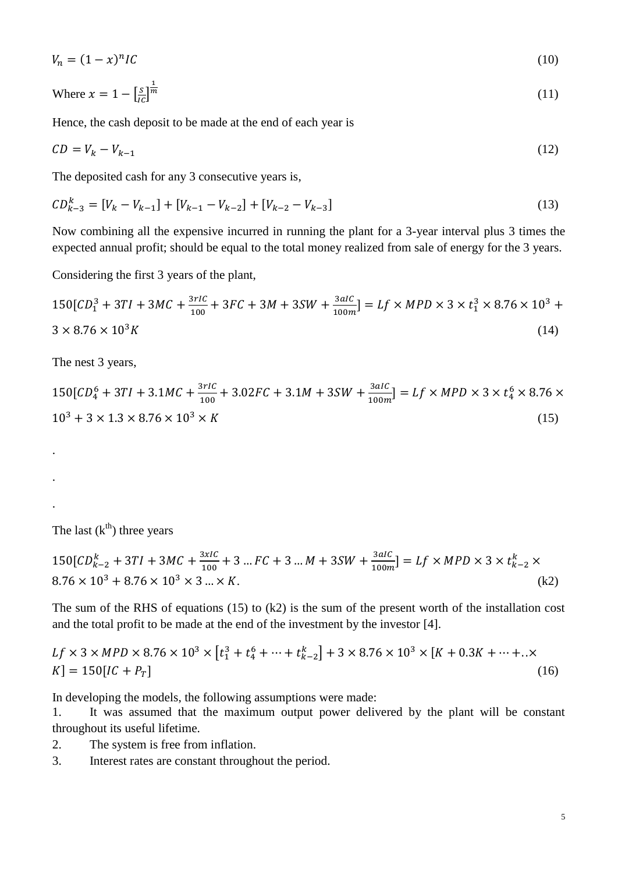$$
V_n = (1 - x)^n IC \tag{10}
$$

Where 
$$
x = 1 - \left[\frac{s}{ic}\right]^{\frac{1}{m}}
$$
 (11)

Hence, the cash deposit to be made at the end of each year is

$$
CD = V_k - V_{k-1} \tag{12}
$$

The deposited cash for any 3 consecutive years is,

$$
CD_{k-3}^k = [V_k - V_{k-1}] + [V_{k-1} - V_{k-2}] + [V_{k-2} - V_{k-3}]
$$
\n(13)

Now combining all the expensive incurred in running the plant for a 3-year interval plus 3 times the expected annual profit; should be equal to the total money realized from sale of energy for the 3 years.

Considering the first 3 years of the plant,

$$
150[CD13 + 3TI + 3MC + \frac{3rIC}{100} + 3FC + 3M + 3SW + \frac{3aIC}{100m}] = Lf \times MPD \times 3 \times t13 \times 8.76 \times 103 + 3 \times 8.76 \times 103K
$$
\n(14)

The nest 3 years,

.

.

.

$$
150[CD_4^6 + 3TI + 3.1MC + \frac{3rIC}{100} + 3.02FC + 3.1M + 3SW + \frac{3aIC}{100m}] = Lf \times MPD \times 3 \times t_4^6 \times 8.76 \times 10^3 + 3 \times 1.3 \times 8.76 \times 10^3 \times K
$$
\n(15)

The last  $(k<sup>th</sup>)$  three years

$$
150[CD_{k-2}^k + 3TI + 3MC + \frac{3xIC}{100} + 3...FC + 3...M + 3SW + \frac{3aIC}{100m}] = Lf \times MPD \times 3 \times t_{k-2}^k \times
$$
  
8.76 × 10<sup>3</sup> + 8.76 × 10<sup>3</sup> × 3...×K. (k2)

The sum of the RHS of equations (15) to (k2) is the sum of the present worth of the installation cost and the total profit to be made at the end of the investment by the investor [4].

$$
Lf \times 3 \times MPD \times 8.76 \times 10^3 \times [t_1^3 + t_4^6 + \dots + t_{k-2}^k] + 3 \times 8.76 \times 10^3 \times [K + 0.3K + \dots + . \times K] = 150[IC + P_T]
$$
\n(16)

In developing the models, the following assumptions were made:

1. It was assumed that the maximum output power delivered by the plant will be constant throughout its useful lifetime.

- 2. The system is free from inflation.
- 3. Interest rates are constant throughout the period.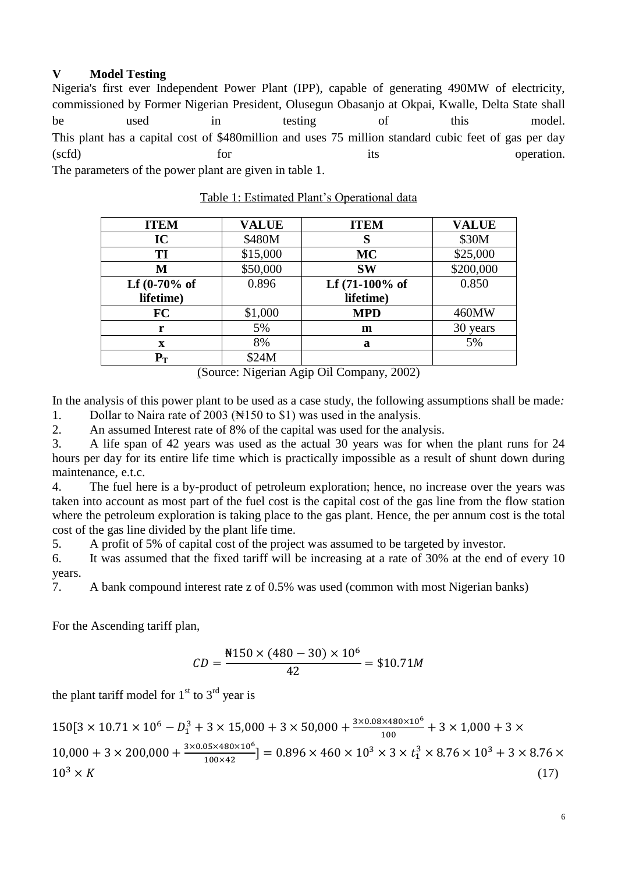#### **V Model Testing**

Nigeria's first ever Independent Power Plant (IPP), capable of generating 490MW of electricity, commissioned by Former Nigerian President, Olusegun Obasanjo at Okpai, Kwalle, Delta State shall be used in testing of this model. This plant has a capital cost of \$480million and uses 75 million standard cubic feet of gas per day (scfd) for for its operation. The parameters of the power plant are given in table 1.

| <b>ITEM</b>       | <b>VALUE</b> | <b>ITEM</b>       | <b>VALUE</b> |
|-------------------|--------------|-------------------|--------------|
| IC                | \$480M       |                   | \$30M        |
| TI                | \$15,000     | <b>MC</b>         | \$25,000     |
| M                 | \$50,000     | <b>SW</b>         | \$200,000    |
| Lf $(0-70%$ of    | 0.896        | Lf $(71-100\%$ of | 0.850        |
| lifetime)         |              | lifetime)         |              |
| FC                | \$1,000      | <b>MPD</b>        | 460MW        |
| r                 | 5%           | m                 | 30 years     |
| $\mathbf x$       | 8%           | a                 | 5%           |
| ${\bf P}_{\rm T}$ | \$24M        |                   |              |

Table 1: Estimated Plant's Operational data

(Source: Nigerian Agip Oil Company, 2002)

In the analysis of this power plant to be used as a case study, the following assumptions shall be made*:* 1. Dollar to Naira rate of 2003 (New 150 to \$1) was used in the analysis.

2. An assumed Interest rate of 8% of the capital was used for the analysis.

3. A life span of 42 years was used as the actual 30 years was for when the plant runs for 24 hours per day for its entire life time which is practically impossible as a result of shunt down during maintenance, e.t.c.

4. The fuel here is a by-product of petroleum exploration; hence, no increase over the years was taken into account as most part of the fuel cost is the capital cost of the gas line from the flow station where the petroleum exploration is taking place to the gas plant. Hence, the per annum cost is the total cost of the gas line divided by the plant life time.

5. A profit of 5% of capital cost of the project was assumed to be targeted by investor.

6. It was assumed that the fixed tariff will be increasing at a rate of 30% at the end of every 10 years.

7. A bank compound interest rate z of 0.5% was used (common with most Nigerian banks)

For the Ascending tariff plan,

$$
CD = \frac{\text{N150} \times (480 - 30) \times 10^6}{42} = \$10.71M
$$

the plant tariff model for  $1<sup>st</sup>$  to  $3<sup>rd</sup>$  year is

$$
150[3 \times 10.71 \times 10^6 - D_1^3 + 3 \times 15,000 + 3 \times 50,000 + \frac{3 \times 0.08 \times 480 \times 10^6}{100} + 3 \times 1,000 + 3 \times 10,000 + 3 \times 200,000 + \frac{3 \times 0.05 \times 480 \times 10^6}{100 \times 42}] = 0.896 \times 460 \times 10^3 \times 3 \times t_1^3 \times 8.76 \times 10^3 + 3 \times 8.76 \times 10^3 \times K
$$
\n
$$
(17)
$$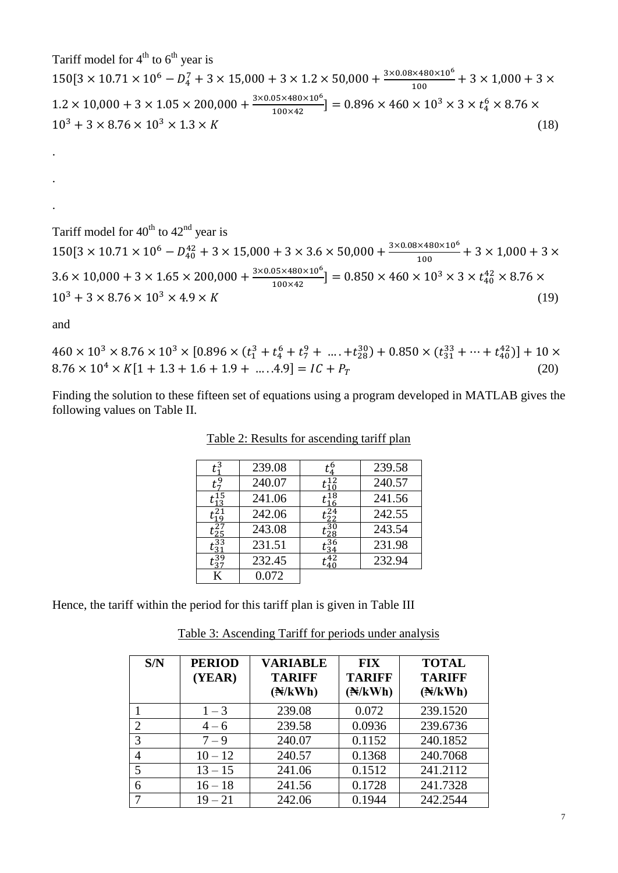Tariff model for  $4<sup>th</sup>$  to  $6<sup>th</sup>$  year is  $150[3 \times 10.71 \times 10^6 - D_4^7 + 3 \times 15{,}000 + 3 \times 1.2 \times 50{,}000 + \frac{3}{7}$  $\frac{100}{100} +$  $1.2 \times 10,000 + 3 \times 1.05 \times 200,000 + \frac{3}{2}$  $\frac{3.05 \times 480 \times 10^{3}}{100 \times 42}$  = 0.896 \times 460 \times 10<sup>3</sup> \times 3 \times t<sub>4</sub>  $10^3 + 3 \times 8.76 \times 10^3 \times 1.3 \times K$  (18)

Tariff model for  $40^{th}$  to  $42^{nd}$  year is  $150[3 \times 10.71 \times 10^6 - D_{40}^{42} + 3 \times 15,000 + 3 \times 3.6 \times 50,000 + \frac{3}{2}$  $\frac{100}{100} +$  $3.6 \times 10,000 + 3 \times 1.65 \times 200,000 + \frac{3}{2}$  $\frac{0.05 \times 480 \times 10^{6}}{100 \times 42}$  = 0.850 \times 460 \times 10<sup>3</sup> \times 3 \times  $t_4^4$  $10^3 + 3 \times 8.76 \times 10^3 \times 4.9 \times K$  (19)

and

.

.

.

 $460 \times 10^3 \times 8.76 \times 10^3 \times [0.896 \times (t_1^3 + t_4^6 + t_7^9 + \dots + t_{28}^{30}) + 0.850 \times (t_{31}^{33} + \dots + t_{40}^{42})]$  $8.76 \times 10^4 \times K[1 + 1.3 + 1.6 + 1.9 + \dots .4.9] = IC + P_T$  (20)

Finding the solution to these fifteen set of equations using a program developed in MATLAB gives the following values on Table II.

|             | 239.08 | 239.58 |
|-------------|--------|--------|
|             |        |        |
|             | 240.07 | 240.57 |
|             | 241.06 | 241.56 |
| t 21<br>L19 | 242.06 | 242.55 |
| 27ء<br>25   | 243.08 | 243.54 |
| 33ء<br>21   | 231.51 | 231.98 |
|             | 232.45 | 232.94 |
|             | 0.072  |        |

Table 2: Results for ascending tariff plan

Hence, the tariff within the period for this tariff plan is given in Table III

Table 3: Ascending Tariff for periods under analysis

| S/N | <b>PERIOD</b><br>(YEAR) | <b>VARIABLE</b><br><b>TARIFF</b><br>$(\mathbb{N}/kWh)$ | <b>FIX</b><br><b>TARIFF</b><br>(A/KWh) | <b>TOTAL</b><br><b>TARIFF</b><br>$(\mathbb{N}/kWh)$ |
|-----|-------------------------|--------------------------------------------------------|----------------------------------------|-----------------------------------------------------|
|     | $1 - 3$                 | 239.08                                                 | 0.072                                  | 239.1520                                            |
|     | $4 - 6$                 | 239.58                                                 | 0.0936                                 | 239.6736                                            |
| 3   | $7 - 9$                 | 240.07                                                 | 0.1152                                 | 240.1852                                            |
|     | $10 - 12$               | 240.57                                                 | 0.1368                                 | 240.7068                                            |
| 5   | $13 - 15$               | 241.06                                                 | 0.1512                                 | 241.2112                                            |
| 6   | $16 - 18$               | 241.56                                                 | 0.1728                                 | 241.7328                                            |
|     | $19 - 21$               | 242.06                                                 | 0.1944                                 | 242.2544                                            |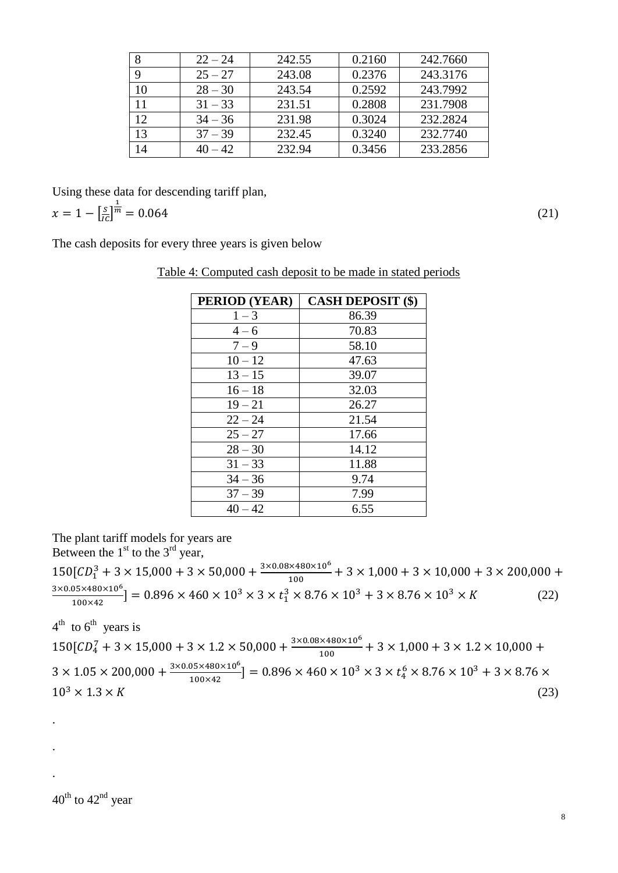|                 | $22 - 24$ | 242.55 | 0.2160 | 242.7660 |
|-----------------|-----------|--------|--------|----------|
|                 | $25 - 27$ | 243.08 | 0.2376 | 243.3176 |
| 10              | $28 - 30$ | 243.54 | 0.2592 | 243.7992 |
| 11              | $31 - 33$ | 231.51 | 0.2808 | 231.7908 |
| 12              | $34 - 36$ | 231.98 | 0.3024 | 232.2824 |
| 13              | $37 - 39$ | 232.45 | 0.3240 | 232.7740 |
| $\overline{14}$ | $40 - 42$ | 232.94 | 0.3456 | 233.2856 |

Using these data for descending tariff plan,  $x = 1 - \left[\frac{s}{ic}\right]$  $\frac{1}{m} = 0.064$  (21)

The cash deposits for every three years is given below

|--|

| PERIOD (YEAR) | <b>CASH DEPOSIT (\$)</b> |
|---------------|--------------------------|
| $1 - 3$       | 86.39                    |
| $4 - 6$       | 70.83                    |
| $7 - 9$       | 58.10                    |
| $10 - 12$     | 47.63                    |
| $13 - 15$     | 39.07                    |
| $16 - 18$     | 32.03                    |
| $19 - 21$     | 26.27                    |
| $22 - 24$     | 21.54                    |
| $25 - 27$     | 17.66                    |
| $28 - 30$     | 14.12                    |
| $31 - 33$     | 11.88                    |
| $34 - 36$     | 9.74                     |
| $37 - 39$     | 7.99                     |
| $40 - 42$     | 6.55                     |

The plant tariff models for years are

Between the  $1<sup>st</sup>$  to the  $3<sup>rd</sup>$  year,  $150[CD_1^3 + 3 \times 15{,}000 + 3 \times 50{,}000 + \frac{3}{4}$  $\frac{100}{100} +$ 3  $\frac{0.05 \times 480 \times 10^{6}}{100 \times 42}$  = 0.896 × 460 × 10<sup>3</sup> × 3 × t<sub>1</sub><sup>3</sup> × 8.76 × 10<sup>3</sup> + 3 × 8.76 × 10<sup>3</sup> × K (22)

 $4^{\text{th}}$  to  $6^{\text{th}}$  years is  $150[CD_4^7 + 3 \times 15,000 + 3 \times 1.2 \times 50,000 + \frac{3}{2}]$  $\frac{100}{100} +$  $3 \times 1.05 \times 200,000 + \frac{3}{5}$  $\frac{35 \times 480 \times 10^{6}}{100 \times 42}$  = 0.896 \times 460 \times 10<sup>3</sup> \times 3 \times t<sub>4</sub>  $10^3 \times 1.3 \times K$  (23)

 $40^{\text{th}}$  to  $42^{\text{nd}}$  year

.

.

.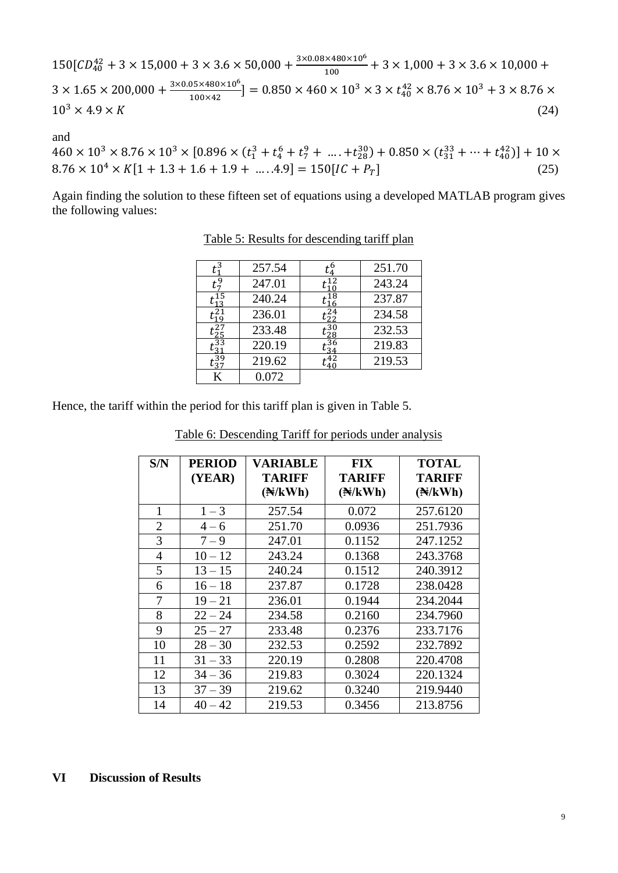$150[CD_{40}^{42} + 3 \times 15,000 + 3 \times 3.6 \times 50,000 + \frac{3}{4}]$  $\frac{100}{100} +$  $3 \times 1.65 \times 200,000 + \frac{3}{5}$  $\frac{3.05 \times 480 \times 10^{6}}{100 \times 42}$  = 0.850 × 460 × 10<sup>3</sup> × 3 × t<sub>4</sub>  $10^3 \times 4.9 \times K$  (24)

and

 $460 \times 10^3 \times 8.76 \times 10^3 \times [0.896 \times (t_1^3 + t_4^6 + t_7^9 + \dots + t_{28}^{30}) + 0.850 \times (t_{31}^{33} + \dots + t_{40}^{42})]$  $8.76 \times 10^4 \times K[1 + 1.3 + 1.6 + 1.9 + \dots .4.9] = 150[IC + P_T]$  (25)

Again finding the solution to these fifteen set of equations using a developed MATLAB program gives the following values:

| 3ع            | 257.54 |                 | 251.70 |
|---------------|--------|-----------------|--------|
|               | 247.01 |                 | 243.24 |
|               | 240.24 | t 18<br>16      | 237.87 |
|               | 236.01 | $\frac{24}{22}$ | 234.58 |
| $t_{25}^{27}$ | 233.48 | -30<br>∕28      | 232.53 |
| 33ء           | 220.19 | .36             | 219.83 |
| .39           | 219.62 |                 | 219.53 |
| K             | 0.072  |                 |        |

Table 5: Results for descending tariff plan

Hence, the tariff within the period for this tariff plan is given in Table 5.

|--|

| S/N            | <b>PERIOD</b><br>(YEAR) | <b>VARIABLE</b><br><b>TARIFF</b> | <b>FIX</b><br><b>TARIFF</b> | <b>TOTAL</b><br><b>TARIFF</b> |
|----------------|-------------------------|----------------------------------|-----------------------------|-------------------------------|
|                |                         | (A/KWh)                          | $(\mathbb{N}/kWh)$          | $(\mathbb{N}/kWh)$            |
| 1              | $1 - 3$                 | 257.54                           | 0.072                       | 257.6120                      |
| $\overline{2}$ | $4 - 6$                 | 251.70                           | 0.0936                      | 251.7936                      |
| 3              | $7 - 9$                 | 247.01                           | 0.1152                      | 247.1252                      |
| 4              | $10 - 12$               | 243.24                           | 0.1368                      | 243.3768                      |
| 5              | $13 - 15$               | 240.24                           | 0.1512                      | 240.3912                      |
| 6              | $16 - 18$               | 237.87                           | 0.1728                      | 238.0428                      |
| 7              | $19 - 21$               | 236.01                           | 0.1944                      | 234.2044                      |
| 8              | $22 - 24$               | 234.58                           | 0.2160                      | 234.7960                      |
| 9              | $25 - 27$               | 233.48                           | 0.2376                      | 233.7176                      |
| 10             | $28 - 30$               | 232.53                           | 0.2592                      | 232.7892                      |
| 11             | $31 - 33$               | 220.19                           | 0.2808                      | 220.4708                      |
| 12             | $34 - 36$               | 219.83                           | 0.3024                      | 220.1324                      |
| 13             | $37 - 39$               | 219.62                           | 0.3240                      | 219.9440                      |
| 14             | $40 - 42$               | 219.53                           | 0.3456                      | 213.8756                      |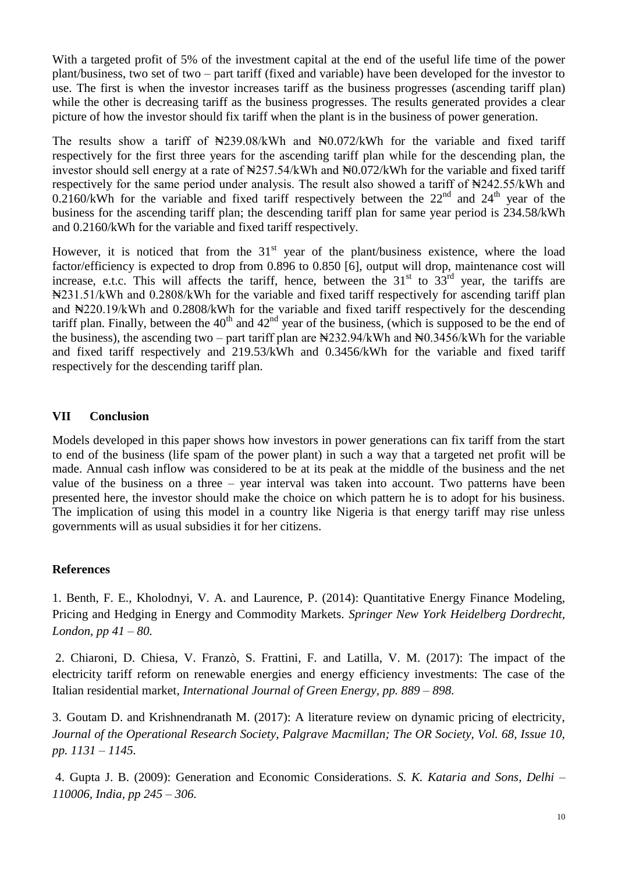With a targeted profit of 5% of the investment capital at the end of the useful life time of the power plant/business, two set of two – part tariff (fixed and variable) have been developed for the investor to use. The first is when the investor increases tariff as the business progresses (ascending tariff plan) while the other is decreasing tariff as the business progresses. The results generated provides a clear picture of how the investor should fix tariff when the plant is in the business of power generation.

The results show a tariff of  $\frac{1}{2}39.08/\text{kWh}$  and  $\frac{1}{2}0.072/\text{kWh}$  for the variable and fixed tariff respectively for the first three years for the ascending tariff plan while for the descending plan, the investor should sell energy at a rate of  $\frac{1257.54}{kWh}$  and  $\frac{120072}{kWh}$  for the variable and fixed tariff respectively for the same period under analysis. The result also showed a tariff of  $\frac{1}{2}4242.55/\text{kWh}$  and 0.2160/kWh for the variable and fixed tariff respectively between the  $22<sup>nd</sup>$  and  $24<sup>th</sup>$  year of the business for the ascending tariff plan; the descending tariff plan for same year period is 234.58/kWh and 0.2160/kWh for the variable and fixed tariff respectively.

However, it is noticed that from the  $31<sup>st</sup>$  year of the plant/business existence, where the load factor/efficiency is expected to drop from 0.896 to 0.850 [6], output will drop, maintenance cost will increase, e.t.c. This will affects the tariff, hence, between the  $31<sup>st</sup>$  to  $33<sup>rd</sup>$  year, the tariffs are ₦231.51/kWh and 0.2808/kWh for the variable and fixed tariff respectively for ascending tariff plan and ₦220.19/kWh and 0.2808/kWh for the variable and fixed tariff respectively for the descending tariff plan. Finally, between the  $40<sup>th</sup>$  and  $42<sup>nd</sup>$  year of the business, (which is supposed to be the end of the business), the ascending two – part tariff plan are  $\frac{1232.94}{kWh}$  and  $\frac{126}{kWh}$  for the variable and fixed tariff respectively and 219.53/kWh and 0.3456/kWh for the variable and fixed tariff respectively for the descending tariff plan.

#### **VII Conclusion**

Models developed in this paper shows how investors in power generations can fix tariff from the start to end of the business (life spam of the power plant) in such a way that a targeted net profit will be made. Annual cash inflow was considered to be at its peak at the middle of the business and the net value of the business on a three – year interval was taken into account. Two patterns have been presented here, the investor should make the choice on which pattern he is to adopt for his business. The implication of using this model in a country like Nigeria is that energy tariff may rise unless governments will as usual subsidies it for her citizens.

#### **References**

1. Benth, F. E., Kholodnyi, V. A. and Laurence, P. (2014): Quantitative Energy Finance Modeling, Pricing and Hedging in Energy and Commodity Markets. *Springer New York Heidelberg Dordrecht, London, pp 41 – 80.*

2. Chiaroni, D. Chiesa, V. Franzò, S. Frattini, F. and Latilla, V. M. (2017): The impact of the electricity tariff reform on renewable energies and energy efficiency investments: The case of the Italian residential market, *International Journal of Green Energy, pp. 889 – 898.*

3. Goutam D. and Krishnendranath M. (2017): [A literature review on dynamic pricing of electricity,](https://ideas.repec.org/a/pal/jorsoc/v68y2017i10d10.1057_s41274-016-0149-4.html) *[Journal of the Operational Research Society,](https://ideas.repec.org/s/pal/jorsoc.html) Palgrave Macmillan; The OR Society, Vol. 68, Issue 10, pp. 1131 – 1145.*

4. Gupta J. B. (2009): Generation and Economic Considerations. *S. K. Kataria and Sons, Delhi – 110006, India, pp 245 – 306.*